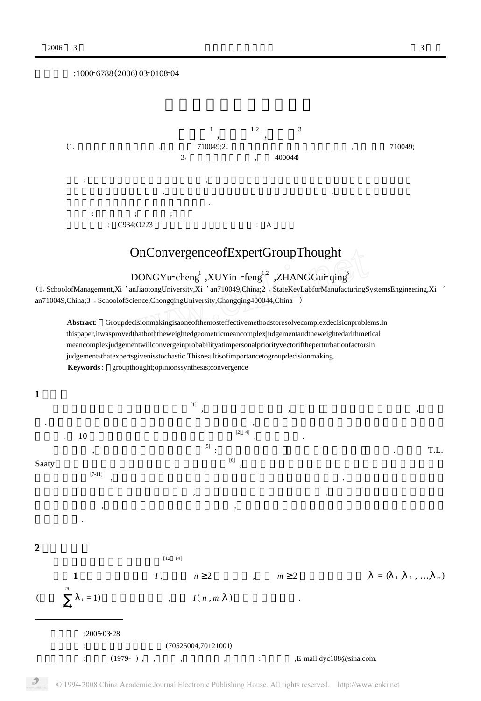## $:1000 - 6788(2006) 03 - 0108 - 04$



## OnConvergenceofExpertGroupThought

 $\rm{DONGYu\text{-}cheng}^{1}$  ,  $\rm{XUYin\text{-}feng}^{1,2}$  ,  $\rm{ZHANGGuir}$   $\rm{qing}^{3}$  and  $\rm{qing}^{3}$  ,  $\rm{Mannfact}$  and  $\rm{Nainfact}$ 

(11SchoolofManagement,Xi 'anJiaotongUniversity,Xi 'an710049,China;2 <sup>1</sup>StateKeyLabforManufacturingSystemsEngineering,Xi ' an710049,China;3 . SchoolofScience,ChongqingUniversity,Chongqing400044,China )

**Abstract**: Groupdecisionmakingisaoneofthemosteffectivemethodstoresolvecomplexdecisionproblems.In thispaper,itwasprovedthatboththeweightedgeometricmeancomplexjudgementandtheweightedarithmetical meancomplexjudgementwillconvergeinprobabilityatimpersonalpriorityvectoriftheperturbationfactorsin judgementsthatexpertsgivenisstochastic.Thisresultisofimportancetogroupdecisionmaking. **Keywords** : groupthought;opinionssynthesis;convergence



© 1994-2008 China Academic Journal Electronic Publishing House. All rights reserved. http://www.cnki.net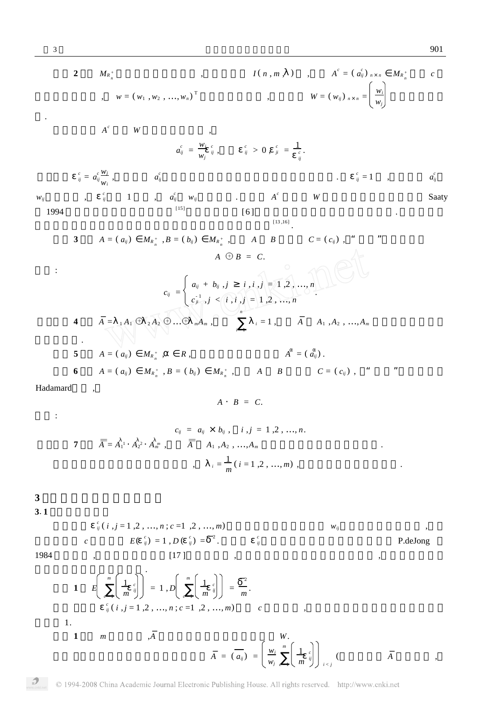*ij* P.deJong

2 
$$
M_{\kappa_n^*}
$$
 ,  $I(n, m, )$ ,  $A^c = (a_0^c)_{n \times n} M_{\kappa_n^*}$  c  
\n,  $w = (w_1, w_2, ..., w_n)^T$  ,  $W = (w_0)_{n \times n} = \left(\frac{w_1}{w_0}\right)^T$   
\nA<sup>c</sup> W ,  $a_0^c = \frac{w_1}{w_0} \frac{c}{v}$ ,  $a_0^c = \frac{1}{w_0}$   
\n $\frac{1}{w_0} = a_0^{\frac{W_1}{W_0}}$ ,  $a_0^c$  ,  $\frac{1}{w_0} = 0$ ,  $\frac{1}{w_0} = \frac{1}{w_0}$   
\n1994 ,  $\frac{1}{w_0} = (a_0)^{2} M_{\kappa_n^*}$ ,  $B = (b_0)^{2} M_{\kappa_n^*}$ ,  $A \quad B$   $C = (c_0)^{2}$ ,  $\frac{1}{w_0}$   
\n2.  $C_{ij} = \begin{cases} a_0 + b_0, j & i, i, j = 1, 2, ..., n \\ c_j & j, j & k, j, j = 1, 2, ..., n \end{cases}$   
\n3.  $A = (a_0)^{2} M_{\kappa_n^*}$ ,  $B = (b_0)^{2} M_{\kappa_n^*}$ ,  $A \quad B$   $C = (c_0)^{2}$ ,  $\frac{1}{w_0}$   
\n4.  $\overline{A} = {}_{-1}A_1 \bigodot 2A_2 \bigodot ... \bigodot M_{\kappa_n^*}$ ,  $B = 1, 1, 1, 2, ..., n$   
\n5.  $A = (a_0)^{2} M_{\kappa_n^*}$ ,  $B = (b_0)^{2} M_{\kappa_n^*}$ ,  $A \quad B$   $C = (c_0)^{2}$ ,  $\frac{1}{w_0}$   
\n6.  $A = (a_0)^{2} M_{\kappa_n^*}$ ,  $B = (b_0)^{2} M_{\kappa_n^*}$ ,  $A \quad B$   $C = (c_0)^{2}$ ,  $\frac{1}{w_0}$   
\n

7 
$$
\overline{A} = A_1^{1} \cdot A_2^{2} \cdot A_m^{m}
$$
,  $\overline{A} = A_1 A_2^{2} \cdot A_m^{m}$ ,  $\overline{A} = A_1 A_2^{2} \cdot A_m^{m}$ ,  $\overline{A} = A_1 A_2^{2} \cdot A_m^{m}$ ,  $\overline{A} = A_1 A_2^{2} \cdot A_m^{m}$ 

*c*  $E(\begin{array}{c} c \\ i \end{array}) = 1, D(\begin{array}{c} c \\ j \end{array}) = \begin{array}{c} -2 \\ i \end{array}$ 

$$
\mathbf{3}^{\prime}
$$

**3**1**1**

1984 , [17 ] , , . **1** *E m c* = 1 1 *m c ij* = 1 , *D m c* = 1 1 *m c ij* = 2 *m* . *c ij* ( *i* , *j* = 1 ,2 , …, *n* ; *c* =1 ,2 , …, *m*) *c* , 1. **<sup>1</sup>** *<sup>m</sup>* ,*<sup>A</sup> <sup>W</sup>*. *<sup>A</sup>* <sup>=</sup> ( *<sup>a</sup>ij* ) = *wi wj m c* = 1 1 *m c ij i* < *j* ( *<sup>A</sup>* ,

 $c_{ij}^c$  ( *i*, *j* = 1, 2, …, *n*; *c* =1, 2, …, *m*) *w*<sub>*ij*</sub> ,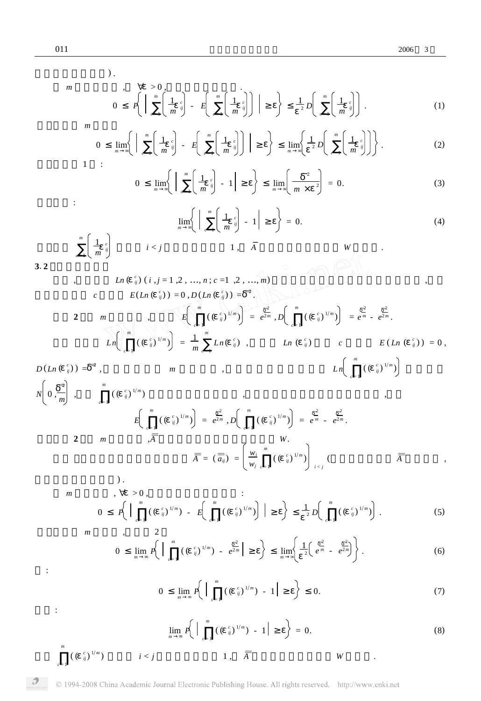:

*m*

1 *m*

*c* = 1

 $)$  .

$$
m \qquad \qquad , \qquad \nabla > 0,
$$
\n
$$
0 \qquad P\left(\left|\begin{array}{c}m \\ m \\ c=1\end{array}\right| \left(\frac{1}{m}c_{ij} \right) - E\left(\left|\begin{array}{c}m \\ m \\ c=1\end{array}\right| \left(\frac{1}{m}c_{ij} \right)\right)\right| \qquad \qquad \right) \qquad \frac{1}{2}D\left(\left|\begin{array}{c}m \\ m \\ c=1\end{array}\right| \left(\frac{1}{m}c_{ij} \right)\right).
$$
\n(1)

$$
\begin{array}{c}\nm\\
0\\
\lim_{m}\left\{\left|\begin{array}{c}m\\
\end{array}\left(\frac{1}{m} \left(\frac{1}{m} c_{ij}\right) - E\left(\begin{array}{c}m\\
\end{array}\left(\frac{1}{m} c_{ij}\right)\right)\end{array}\right|\right\}\right\}\\
\lim_{m}\left\{\frac{1}{2} D\left(\begin{array}{c}m\\
\end{array}\left(\frac{1}{m} c_{ij}\right)\right\}.\n\end{array} \tag{2}
$$

$$
0 \quad \lim_{m} \left\{ \left| \left[ \begin{array}{c} m \\ m \\ c=1 \end{array} \left( \frac{1}{m} \int_0^c \right) - 1 \right| \right\} \right\} \quad \lim_{m} \left( \frac{-2}{m \times 2} \right) = 0. \tag{3}
$$

$$
\lim_{m} \left\{ \left| \begin{array}{c} m \\ m \\ c = 1 \end{array} \left( \frac{1}{m} \int_{\hat{y}}^{\hat{y}} - 1 \right| \right| \right\} = 0. \tag{4}
$$

$$
3.\,2
$$

$$
Ln\left(\begin{array}{c} c \\ j \end{array}\right)(i,j=1,2,...,n;c=1,2,...,m)
$$
\n
$$
E(Ln\left(\begin{array}{c} c \\ j \end{array}\right))=0,D(Ln\left(\begin{array}{c} c \\ j \end{array}\right))=\frac{2}{3}.
$$
\n
$$
E\left(\begin{array}{c} m \\ k \end{array}\right)\left(\begin{array}{c} \left(\begin{array}{c} c \\ j \end{array}\right)^{1/m} \right)=\frac{2}{e^{2m}},D\left(\begin{array}{c} m \\ c=1 \end{array}\right)\left(\begin{array}{c} \left(\begin{array}{c} c \\ j \end{array}\right)^{1/m}\right)=\frac{2}{e^{m}}.\end{array}\right)
$$
\n
$$
Ln\left(\begin{array}{c} c \\ j \end{array}\right)=\frac{1}{m}\sum_{c=1}^{m}Ln\left(\begin{array}{c} c \\ j \end{array}\right),\qquad Ln\left(\begin{array}{c} c \\ j \end{array}\right)=\frac{2}{e^{m}}.\tag{E(Ln\left(\begin{array}{c} c \\ j \end{array}\right))=0,
$$

*D* (*Ln* ( *c ij* ) ) <sup>=</sup> 2 , *m* , *L n c* = 1 ( ( *c ij* ) 1Π*m* ) *N* 0 , 2 *m* , *m c* = 1 ( ( *c ij* ) 1Π*m* ) , , *E m c* = 1 ( ( *c ij* ) 1Π*m* ) = *e* 2 <sup>2</sup> *<sup>m</sup>* , *D m c* = 1 ( ( *c ij* ) 1Π*m* ) = *e* 2 *<sup>m</sup>* - *e* 2 <sup>2</sup> *<sup>m</sup>* . **<sup>2</sup>** *<sup>m</sup>* ,*A <sup>W</sup>*. *<sup>A</sup>* <sup>=</sup> ( *aij* ) = *wi wj m c* = 1 ( ( *c ij* ) 1Π*m* ) *i* < *j* ( *<sup>A</sup>* , ) .

$$
m, \forall >0,
$$
  
\n
$$
0 \neq \left( \begin{array}{ccc} m \\ m \\ c=1 \end{array} \right) \left( \begin{array}{ccc} \binom{c}{j} \frac{1}{m} & -E \binom{m}{c} \left( \begin{array}{c} \binom{c}{j} \frac{1}{m} \end{array} \right) & -E \binom{m}{c} \left( \begin{array}{c} \binom{c}{j} \frac{1}{m} \end{array} \right) & -E \binom{m}{c} \left( \begin{array}{c} \binom{c}{j} \frac{1}{m} \end{array} \right) & -E \binom{m}{c} \left( \begin{array}{c} \binom{c}{j} \frac{1}{m} \end{array} \right) & -E \binom{m}{c} \left( \begin{array}{c} \binom{c}{j} \frac{1}{m} \end{array} \right) & -E \binom{m}{c} \left( \begin{array}{c} \binom{c}{j} \frac{1}{m} \end{array} \right) & -E \binom{m}{c} \left( \begin{array}{c} \binom{c}{j} \frac{1}{m} \end{array} \right) & -E \binom{m}{c} \left( \begin{array}{c} \binom{c}{j} \frac{1}{m} \end{array} \right) & -E \binom{m}{c} \left( \begin{array}{c} \binom{c}{j} \frac{1}{m} \end{array} \right) & -E \binom{m}{c} \left( \begin{array}{c} \binom{c}{j} \frac{1}{m} \end{array} \right) & -E \binom{m}{c} \left( \begin{array}{c} \binom{c}{j} \frac{1}{m} \end{array} \right) & -E \binom{m}{c} \left( \begin{array}{c} \binom{c}{j} \frac{1}{m} \end{array} \right) & -E \binom{m}{c} \left( \begin{array}{c} \binom{c}{j} \frac{1}{m} \end{array} \right) & -E \binom{m}{c} \left( \begin{array}{c} \binom{c}{j} \frac{1}{m} \end{array} \right) & -E \binom{m}{c} \left( \begin{array}{c} \binom{c}{j} \frac{1}{m} \end{array}
$$

$$
0 \quad \lim_{m} P\left( \left| \int_{c=1}^{m} \left( \left( \begin{array}{c} c \\ i \end{array} \right)^{1/m} \right) - e^{\frac{2}{2m}} \right| \right) \quad \lim_{m} \left\{ \frac{1}{2} \left( e^{\frac{2}{m}} - e^{\frac{2}{2m}} \right) \right\}.
$$
 (6)

0 
$$
\lim_{m} P\left(\begin{array}{cc} m & \binom{c}{j}^{1/m} \\ 0 & \binom{c-1}{j}^{1/m} \end{array} - 1\right) = 0.
$$
 (7)

$$
\lim_{m} P\left\{\left|\begin{array}{cc} {m} \\ {c} \\ {c} \\ {n} \end{array}\right|\left(\left(\begin{array}{c} {c} \\ {i} \end{array}\right)^{1/m} \right) - 1\right| \qquad\bigg\} = 0. \tag{8}
$$

:

:

*m*

 $c = 1$   $($   $($   $\frac{c}{ij}$  $)$   $^{1/m}$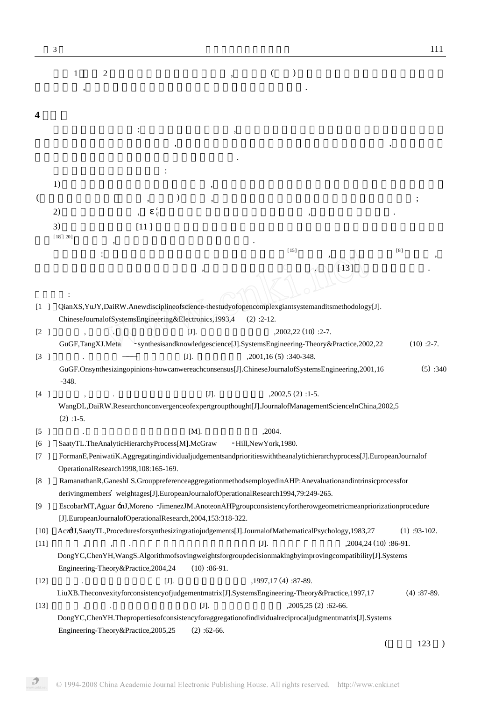|                                       | 3                                                                                                                                                                                                             |               |                        |                                                                              | 111                   |
|---------------------------------------|---------------------------------------------------------------------------------------------------------------------------------------------------------------------------------------------------------------|---------------|------------------------|------------------------------------------------------------------------------|-----------------------|
|                                       | $\mathbf{2}$<br>1                                                                                                                                                                                             |               | $\left($               |                                                                              |                       |
|                                       |                                                                                                                                                                                                               |               |                        |                                                                              |                       |
|                                       |                                                                                                                                                                                                               |               |                        |                                                                              |                       |
| 4                                     |                                                                                                                                                                                                               |               |                        |                                                                              |                       |
|                                       |                                                                                                                                                                                                               |               |                        |                                                                              |                       |
|                                       |                                                                                                                                                                                                               |               |                        |                                                                              |                       |
|                                       |                                                                                                                                                                                                               |               |                        |                                                                              |                       |
|                                       |                                                                                                                                                                                                               |               |                        |                                                                              |                       |
|                                       | 1)                                                                                                                                                                                                            |               |                        |                                                                              |                       |
|                                       |                                                                                                                                                                                                               |               |                        |                                                                              |                       |
|                                       | 2)<br>ij                                                                                                                                                                                                      |               |                        |                                                                              |                       |
|                                       | 3)<br>[11]                                                                                                                                                                                                    |               |                        |                                                                              |                       |
|                                       | [18 20]                                                                                                                                                                                                       |               | $[15]$                 |                                                                              | [8]                   |
|                                       |                                                                                                                                                                                                               |               |                        |                                                                              |                       |
|                                       |                                                                                                                                                                                                               |               |                        | $\lceil 13 \rceil$                                                           |                       |
|                                       |                                                                                                                                                                                                               |               |                        |                                                                              |                       |
| $\begin{bmatrix} 1 & 1 \end{bmatrix}$ | QianXS,YuJY,DaiRW.Anewdisciplineofscience-thestudyofopencomplexgiantsystemanditsmethodology[J].                                                                                                               |               |                        |                                                                              |                       |
|                                       | ChineseJournalofSystemsEngineering&Electronics,1993,4                                                                                                                                                         |               | $(2)$ :2-12.           |                                                                              |                       |
| [2]                                   |                                                                                                                                                                                                               | $[J]$ .       |                        | $,2002,22(10):2-7.$                                                          |                       |
|                                       | GuGF,TangXJ.Meta                                                                                                                                                                                              |               |                        | - synthesisandknowledgescience[J].SystemsEngineering-Theory&Practice,2002,22 | $(10):2-7.$           |
| [3]                                   |                                                                                                                                                                                                               | $[J]$ .       | ,2001,16(5):340-348.   |                                                                              |                       |
|                                       | GuGF.Onsynthesizingopinions-howcanwereachconsensus[J].ChineseJournalofSystemsEngineering,2001,16                                                                                                              |               |                        |                                                                              | $(5)$ :340            |
|                                       | $-348.$                                                                                                                                                                                                       |               |                        |                                                                              |                       |
| [4]                                   | WangDL,DaiRW.Researchonconvergenceofexpertgroupthought[J].JournalofManagementScienceInChina,2002,5                                                                                                            | [J].          | $,2002,5(2):1-5.$      |                                                                              |                       |
|                                       | $(2)$ : 1-5.                                                                                                                                                                                                  |               |                        |                                                                              |                       |
| $\begin{bmatrix} 5 \end{bmatrix}$     |                                                                                                                                                                                                               | [M].          | ,2004.                 |                                                                              |                       |
| [6]                                   | SaatyTL.TheAnalyticHierarchyProcess[M].McGraw                                                                                                                                                                 |               | -Hill, New York, 1980. |                                                                              |                       |
| [7]                                   | FormanE,PeniwatiK.Aggregatingindividualjudgementsandprioritieswiththeanalytichierarchyprocess[J].EuropeanJournalof                                                                                            |               |                        |                                                                              |                       |
|                                       | OperationalResearch1998,108:165-169.                                                                                                                                                                          |               |                        |                                                                              |                       |
| [8]                                   | RamanathanR,GaneshLS.GrouppreferenceaggregationmethodsemployedinAHP:Anevaluationandintrinsicprocessfor                                                                                                        |               |                        |                                                                              |                       |
|                                       | derivingmembers' weightages[J].EuropeanJournalofOperationalResearch1994,79:249-265.<br>EscobarMT, Aguar ÓJ, Moreno -JimenezJM. Anoteon AHP groupconsistency for the row geometric mean priorization procedure |               |                        |                                                                              |                       |
| [9]                                   | [J].EuropeanJournalofOperationalResearch,2004,153:318-322.                                                                                                                                                    |               |                        |                                                                              |                       |
| $[10]$                                | Acz4J,SaatyTL,Proceduresforsynthesizingratiojudgements[J].JournalofMathematicalPsychology,1983,27                                                                                                             |               |                        |                                                                              | $(1)$ :93-102.        |
| $[11]$                                | $\, ,$<br>$^\bullet$                                                                                                                                                                                          |               | $[J].$                 | $,2004,24(10):86-91.$                                                        |                       |
|                                       | Dong YC, Chen YH, WangS. Algorithmofsoving weights for groupdecision making by improving compatibility [J]. Systems                                                                                           |               |                        |                                                                              |                       |
|                                       | Engineering-Theory&Practice,2004,24                                                                                                                                                                           | $(10):86-91.$ |                        |                                                                              |                       |
| $[12]$                                | $[J]$ .                                                                                                                                                                                                       |               | , 1997, 17 (4): 87-89. |                                                                              |                       |
|                                       | LiuXB.Theconvexityforconsistencyofjudgementmatrix[J].SystemsEngineering-Theory&Practice,1997,17                                                                                                               |               |                        |                                                                              | $(4)$ :87-89.         |
| $[13]$                                | $\overline{\phantom{a}}$<br>$\cdot$                                                                                                                                                                           | [J].          |                        | $,2005,25(2):62-66.$                                                         |                       |
|                                       | Dong YC, Chen YH. The properties of consistency for aggregation of individual reciprocal judgment matrix [J]. Systems<br>Engineering-Theory&Practice,2005,25                                                  | $(2)$ :62-66. |                        |                                                                              |                       |
|                                       |                                                                                                                                                                                                               |               |                        |                                                                              | 123<br>$\overline{(}$ |
|                                       |                                                                                                                                                                                                               |               |                        |                                                                              |                       |